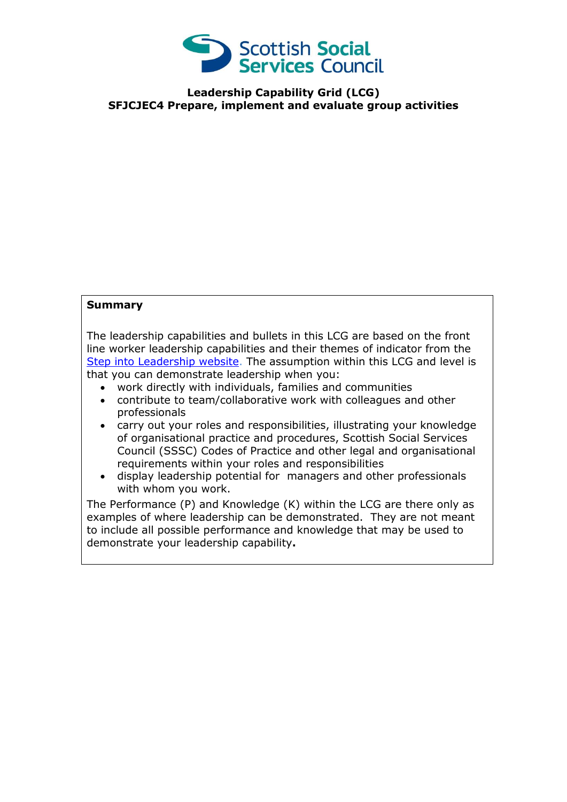

**Leadership Capability Grid (LCG) SFJCJEC4 Prepare, implement and evaluate group activities** 

## **Summary**

The leadership capabilities and bullets in this LCG are based on the front line worker leadership capabilities and their themes of indicator from the [Step into Leadership website.](http://www.stepintoleadership.info/) The assumption within this LCG and level is that you can demonstrate leadership when you:

- work directly with individuals, families and communities
- contribute to team/collaborative work with colleagues and other professionals
- carry out your roles and responsibilities, illustrating your knowledge of organisational practice and procedures, Scottish Social Services Council (SSSC) Codes of Practice and other legal and organisational requirements within your roles and responsibilities
- display leadership potential for managers and other professionals with whom you work.

The Performance (P) and Knowledge (K) within the LCG are there only as examples of where leadership can be demonstrated. They are not meant to include all possible performance and knowledge that may be used to demonstrate your leadership capability**.**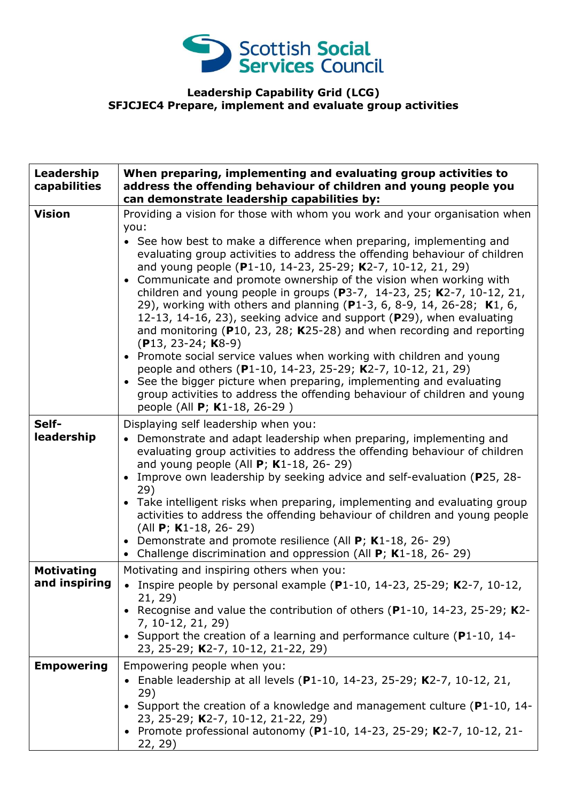

## **Leadership Capability Grid (LCG) SFJCJEC4 Prepare, implement and evaluate group activities**

| Leadership<br>capabilities         | When preparing, implementing and evaluating group activities to<br>address the offending behaviour of children and young people you<br>can demonstrate leadership capabilities by:                                                                                                                                                                                                                                                                                                                                                                                                                                                                                                                                                                                                                                                                                                                                                                                                                                                           |
|------------------------------------|----------------------------------------------------------------------------------------------------------------------------------------------------------------------------------------------------------------------------------------------------------------------------------------------------------------------------------------------------------------------------------------------------------------------------------------------------------------------------------------------------------------------------------------------------------------------------------------------------------------------------------------------------------------------------------------------------------------------------------------------------------------------------------------------------------------------------------------------------------------------------------------------------------------------------------------------------------------------------------------------------------------------------------------------|
| <b>Vision</b>                      | Providing a vision for those with whom you work and your organisation when<br>you:<br>• See how best to make a difference when preparing, implementing and<br>evaluating group activities to address the offending behaviour of children<br>and young people (P1-10, 14-23, 25-29; K2-7, 10-12, 21, 29)<br>• Communicate and promote ownership of the vision when working with<br>children and young people in groups (P3-7, 14-23, 25; K2-7, 10-12, 21,<br>29), working with others and planning (P1-3, 6, 8-9, 14, 26-28; K1, 6,<br>12-13, 14-16, 23), seeking advice and support (P29), when evaluating<br>and monitoring ( $P10$ , 23, 28; K25-28) and when recording and reporting<br>$(P13, 23-24; K8-9)$<br>• Promote social service values when working with children and young<br>people and others (P1-10, 14-23, 25-29; K2-7, 10-12, 21, 29)<br>• See the bigger picture when preparing, implementing and evaluating<br>group activities to address the offending behaviour of children and young<br>people (All P; K1-18, 26-29) |
| Self-<br>leadership                | Displaying self leadership when you:<br>• Demonstrate and adapt leadership when preparing, implementing and<br>evaluating group activities to address the offending behaviour of children<br>and young people (All $P$ ; K1-18, 26-29)<br>• Improve own leadership by seeking advice and self-evaluation (P25, 28-<br>29)<br>• Take intelligent risks when preparing, implementing and evaluating group<br>activities to address the offending behaviour of children and young people<br>(All $P$ ; K1-18, 26-29)<br>• Demonstrate and promote resilience (All $P$ ; K1-18, 26-29)<br>• Challenge discrimination and oppression (All P; K1-18, 26-29)                                                                                                                                                                                                                                                                                                                                                                                        |
| <b>Motivating</b><br>and inspiring | Motivating and inspiring others when you:<br>• Inspire people by personal example (P1-10, 14-23, 25-29; K2-7, 10-12,<br>21, 29)<br>Recognise and value the contribution of others ( $P1-10$ , 14-23, 25-29; K2-<br>7, 10-12, 21, 29)<br>• Support the creation of a learning and performance culture (P1-10, 14-<br>23, 25-29; K2-7, 10-12, 21-22, 29)                                                                                                                                                                                                                                                                                                                                                                                                                                                                                                                                                                                                                                                                                       |
| <b>Empowering</b>                  | Empowering people when you:<br>Enable leadership at all levels (P1-10, 14-23, 25-29; K2-7, 10-12, 21,<br>29)<br>• Support the creation of a knowledge and management culture (P1-10, 14-<br>23, 25-29; K2-7, 10-12, 21-22, 29)<br>• Promote professional autonomy (P1-10, 14-23, 25-29; K2-7, 10-12, 21-<br>22, 29)                                                                                                                                                                                                                                                                                                                                                                                                                                                                                                                                                                                                                                                                                                                          |